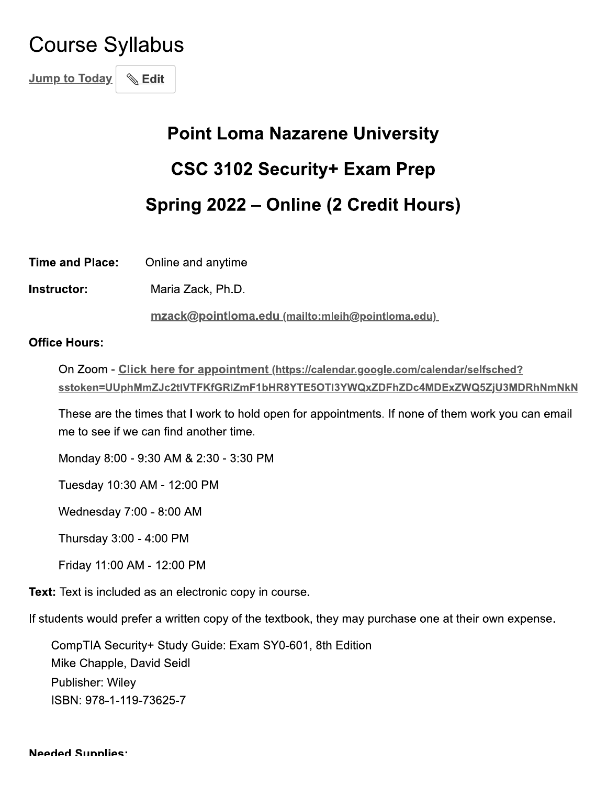# **Course Syllabus**

**Jump to Today &**Edit

# **Point Loma Nazarene University CSC 3102 Security+ Exam Prep** Spring 2022 - Online (2 Credit Hours)

**Time and Place:** Online and anytime

Instructor: Maria Zack, Ph.D.

mzack@pointloma.edu (mailto:mleih@pointloma.edu)

#### **Office Hours:**

On Zoom - Click here for appointment (https://calendar.google.com/calendar/selfsched? sstoken=UUphMmZJc2tIVTFKfGRIZmF1bHR8YTE5OTI3YWQxZDFhZDc4MDExZWQ5ZjU3MDRhNmNkN

These are the times that I work to hold open for appointments. If none of them work you can email me to see if we can find another time.

Monday 8:00 - 9:30 AM & 2:30 - 3:30 PM

Tuesday 10:30 AM - 12:00 PM

Wednesday 7:00 - 8:00 AM

Thursday 3:00 - 4:00 PM

Friday 11:00 AM - 12:00 PM

**Text:** Text is included as an electronic copy in course.

If students would prefer a written copy of the textbook, they may purchase one at their own expense.

CompTIA Security+ Study Guide: Exam SY0-601, 8th Edition Mike Chapple, David Seidl Publisher: Wiley ISBN: 978-1-119-73625-7

#### **Needed Supplies:**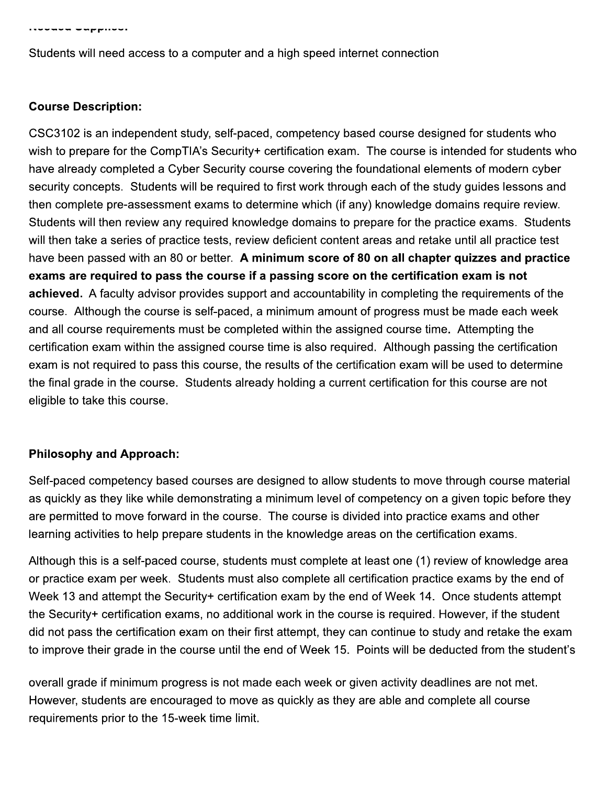Students will need access to a computer and a high speed internet connection

#### **Course Description:**

CSC3102 is an independent study, self-paced, competency based course designed for students who wish to prepare for the CompTIA's Security+ certification exam. The course is intended for students who have already completed a Cyber Security course covering the foundational elements of modern cyber security concepts. Students will be required to first work through each of the study guides lessons and then complete pre-assessment exams to determine which (if any) knowledge domains require review. Students will then review any required knowledge domains to prepare for the practice exams. Students will then take a series of practice tests, review deficient content areas and retake until all practice test have been passed with an 80 or better. A minimum score of 80 on all chapter quizzes and practice exams are required to pass the course if a passing score on the certification exam is not achieved. A faculty advisor provides support and accountability in completing the requirements of the course. Although the course is self-paced, a minimum amount of progress must be made each week and all course requirements must be completed within the assigned course time. Attempting the certification exam within the assigned course time is also required. Although passing the certification exam is not required to pass this course, the results of the certification exam will be used to determine the final grade in the course. Students already holding a current certification for this course are not eligible to take this course.

#### **Philosophy and Approach:**

Self-paced competency based courses are designed to allow students to move through course material as quickly as they like while demonstrating a minimum level of competency on a given topic before they are permitted to move forward in the course. The course is divided into practice exams and other learning activities to help prepare students in the knowledge areas on the certification exams.

Although this is a self-paced course, students must complete at least one (1) review of knowledge area or practice exam per week. Students must also complete all certification practice exams by the end of Week 13 and attempt the Security+ certification exam by the end of Week 14. Once students attempt the Security+ certification exams, no additional work in the course is required. However, if the student did not pass the certification exam on their first attempt, they can continue to study and retake the exam to improve their grade in the course until the end of Week 15. Points will be deducted from the student's

overall grade if minimum progress is not made each week or given activity deadlines are not met. However, students are encouraged to move as quickly as they are able and complete all course requirements prior to the 15-week time limit.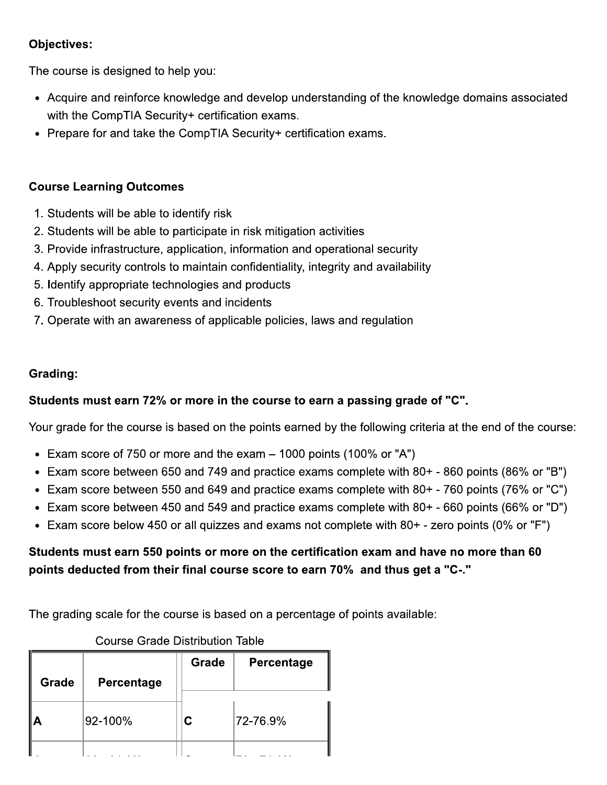# **Objectives:**

The course is designed to help you:

- Acquire and reinforce knowledge and develop understanding of the knowledge domains associated with the CompTIA Security+ certification exams.
- Prepare for and take the CompTIA Security+ certification exams.

# **Course Learning Outcomes**

- 1. Students will be able to identify risk
- 2. Students will be able to participate in risk mitigation activities
- 3. Provide infrastructure, application, information and operational security
- 4. Apply security controls to maintain confidentiality, integrity and availability
- 5. Identify appropriate technologies and products
- 6. Troubleshoot security events and incidents
- 7. Operate with an awareness of applicable policies, laws and regulation

## Grading:

# Students must earn 72% or more in the course to earn a passing grade of "C".

Your grade for the course is based on the points earned by the following criteria at the end of the course:

- Exam score of 750 or more and the exam  $-$  1000 points (100% or "A")
- Exam score between 650 and 749 and practice exams complete with 80+ 860 points (86% or "B")
- Exam score between 550 and 649 and practice exams complete with 80+ 760 points (76% or "C")
- Exam score between 450 and 549 and practice exams complete with 80+ 660 points (66% or "D")
- Exam score below 450 or all quizzes and exams not complete with 80+ zero points (0% or "F")

# Students must earn 550 points or more on the certification exam and have no more than 60 points deducted from their final course score to earn 70% and thus get a "C-."

The grading scale for the course is based on a percentage of points available:

| Grade | Percentage | Grade | <b>Percentage</b> |
|-------|------------|-------|-------------------|
|       | 92-100%    | С     | 72-76.9%          |
|       |            |       |                   |

# **Course Grade Distribution Table**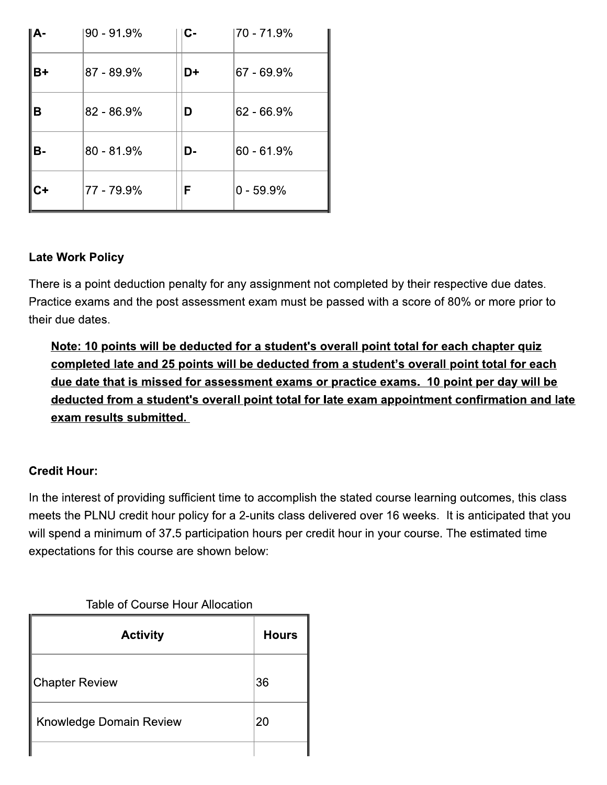| IA-  | $90 - 91.9%$  | С- | 70 - 71.9%    |
|------|---------------|----|---------------|
| $B+$ | $87 - 89.9\%$ | D+ | $ 67 - 69.9%$ |
| в    | 82 - 86.9%    | D  | $62 - 66.9%$  |
| В-   | $80 - 81.9%$  | D- | $60 - 61.9%$  |
| $C+$ | 77 - 79.9%    | F  | $0 - 59.9%$   |

# **Late Work Policy**

There is a point deduction penalty for any assignment not completed by their respective due dates. Practice exams and the post assessment exam must be passed with a score of 80% or more prior to their due dates.

Note: 10 points will be deducted for a student's overall point total for each chapter quiz completed late and 25 points will be deducted from a student's overall point total for each due date that is missed for assessment exams or practice exams. 10 point per day will be deducted from a student's overall point total for late exam appointment confirmation and late exam results submitted.

# **Credit Hour:**

In the interest of providing sufficient time to accomplish the stated course learning outcomes, this class meets the PLNU credit hour policy for a 2-units class delivered over 16 weeks. It is anticipated that you will spend a minimum of 37.5 participation hours per credit hour in your course. The estimated time expectations for this course are shown below:

#### Table of Course Hour Allocation

| <b>Activity</b>                | <b>Hours</b> |
|--------------------------------|--------------|
| ∥Chapter Review                | 36           |
| <b>Knowledge Domain Review</b> | 20           |
|                                |              |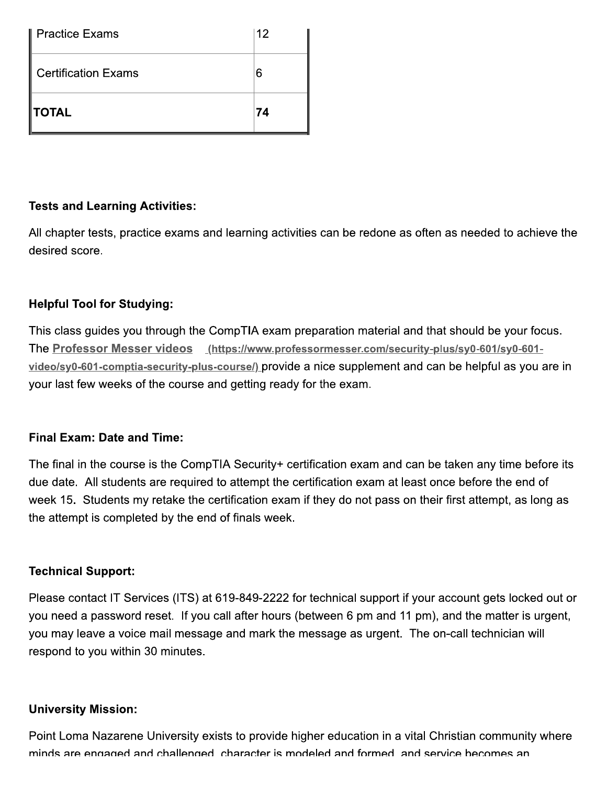| l Practice Exams           | 12 |
|----------------------------|----|
| <b>Certification Exams</b> | 6  |
| <b>TOTAL</b>               | 74 |

## **Tests and Learning Activities:**

All chapter tests, practice exams and learning activities can be redone as often as needed to achieve the desired score.

#### **Helpful Tool for Studying:**

This class guides you through the CompTIA exam preparation material and that should be your focus. The Professor Messer videos (https://www.professormesser.com/security-plus/sy0-601/sy0-601video/sy0-601-comptia-security-plus-course/) provide a nice supplement and can be helpful as you are in your last few weeks of the course and getting ready for the exam.

# Final Exam: Date and Time:

The final in the course is the CompTIA Security+ certification exam and can be taken any time before its due date. All students are required to attempt the certification exam at least once before the end of week 15. Students my retake the certification exam if they do not pass on their first attempt, as long as the attempt is completed by the end of finals week.

#### **Technical Support:**

Please contact IT Services (ITS) at 619-849-2222 for technical support if your account gets locked out or you need a password reset. If you call after hours (between 6 pm and 11 pm), and the matter is urgent, you may leave a voice mail message and mark the message as urgent. The on-call technician will respond to you within 30 minutes.

#### **University Mission:**

Point Loma Nazarene University exists to provide higher education in a vital Christian community where minds are engaged and challenged character is modeled and formed and service becomes an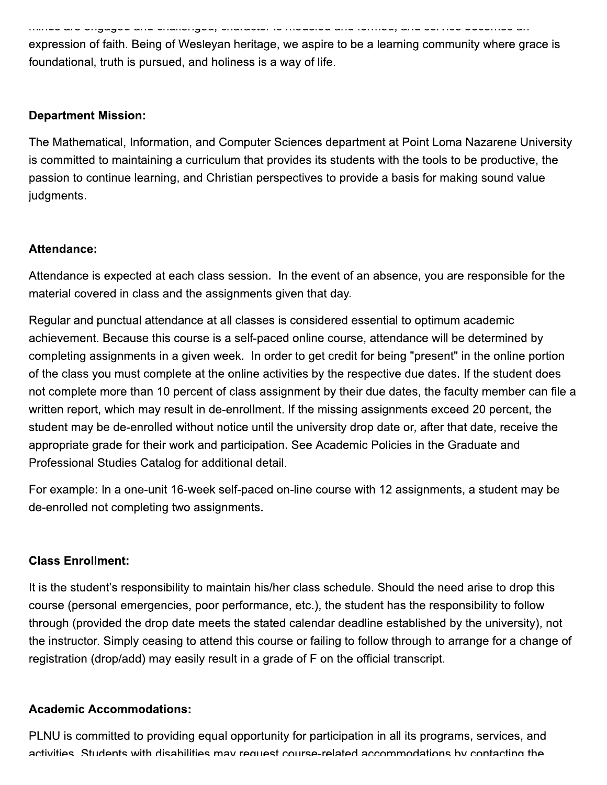ao aro ongagoa ana onaliongoa, onaraotor lo moaoloa ana lomitoa, ana oormoo booomoo an

expression of faith. Being of Wesleyan heritage, we aspire to be a learning community where grace is foundational, truth is pursued, and holiness is a way of life.

#### **Department Mission:**

The Mathematical, Information, and Computer Sciences department at Point Loma Nazarene University is committed to maintaining a curriculum that provides its students with the tools to be productive, the passion to continue learning, and Christian perspectives to provide a basis for making sound value judgments.

#### Attendance:

Attendance is expected at each class session. In the event of an absence, you are responsible for the material covered in class and the assignments given that day.

Regular and punctual attendance at all classes is considered essential to optimum academic achievement. Because this course is a self-paced online course, attendance will be determined by completing assignments in a given week. In order to get credit for being "present" in the online portion of the class you must complete at the online activities by the respective due dates. If the student does not complete more than 10 percent of class assignment by their due dates, the faculty member can file a written report, which may result in de-enrollment. If the missing assignments exceed 20 percent, the student may be de-enrolled without notice until the university drop date or, after that date, receive the appropriate grade for their work and participation. See Academic Policies in the Graduate and Professional Studies Catalog for additional detail.

For example: In a one-unit 16-week self-paced on-line course with 12 assignments, a student may be de-enrolled not completing two assignments.

#### **Class Enrollment:**

It is the student's responsibility to maintain his/her class schedule. Should the need arise to drop this course (personal emergencies, poor performance, etc.), the student has the responsibility to follow through (provided the drop date meets the stated calendar deadline established by the university), not the instructor. Simply ceasing to attend this course or failing to follow through to arrange for a change of registration (drop/add) may easily result in a grade of F on the official transcript.

#### **Academic Accommodations:**

PLNU is committed to providing equal opportunity for participation in all its programs, services, and activities. Students with disabilities may request course-related accommodations by contacting the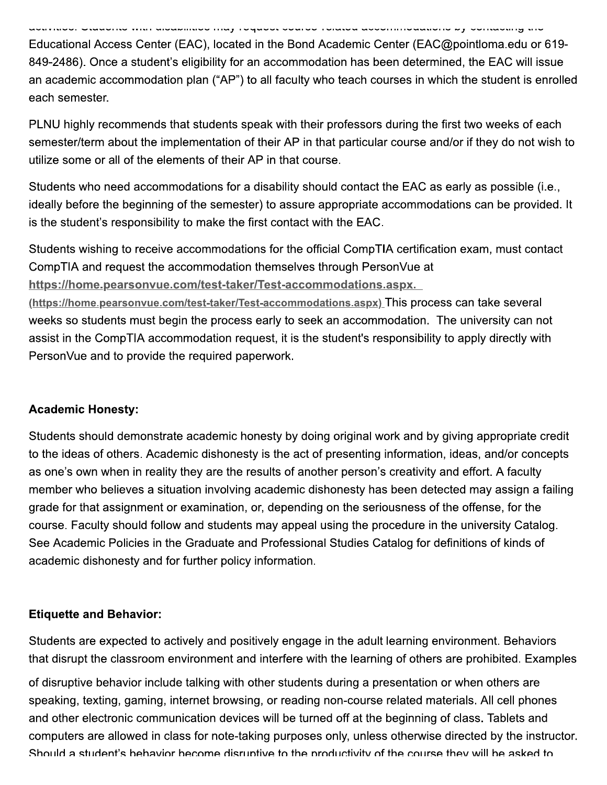adiminud, Unadomo min dibabilinud may roquodi bourud rolanda dobominidadilone by domading ind

Educational Access Center (EAC), located in the Bond Academic Center (EAC@pointloma.edu or 619-849-2486). Once a student's eligibility for an accommodation has been determined, the EAC will issue an academic accommodation plan ("AP") to all faculty who teach courses in which the student is enrolled each semester.

PLNU highly recommends that students speak with their professors during the first two weeks of each semester/term about the implementation of their AP in that particular course and/or if they do not wish to utilize some or all of the elements of their AP in that course.

Students who need accommodations for a disability should contact the EAC as early as possible (i.e., ideally before the beginning of the semester) to assure appropriate accommodations can be provided. It is the student's responsibility to make the first contact with the EAC.

Students wishing to receive accommodations for the official CompTIA certification exam, must contact CompTIA and request the accommodation themselves through PersonVue at https://home.pearsonvue.com/test-taker/Test-accommodations.aspx.

(https://home.pearsonvue.com/test-taker/Test-accommodations.aspx) This process can take several weeks so students must begin the process early to seek an accommodation. The university can not assist in the CompTIA accommodation request, it is the student's responsibility to apply directly with PersonVue and to provide the required paperwork.

#### **Academic Honesty:**

Students should demonstrate academic honesty by doing original work and by giving appropriate credit to the ideas of others. Academic dishonesty is the act of presenting information, ideas, and/or concepts as one's own when in reality they are the results of another person's creativity and effort. A faculty member who believes a situation involving academic dishonesty has been detected may assign a failing grade for that assignment or examination, or, depending on the seriousness of the offense, for the course. Faculty should follow and students may appeal using the procedure in the university Catalog. See Academic Policies in the Graduate and Professional Studies Catalog for definitions of kinds of academic dishonesty and for further policy information.

#### **Etiquette and Behavior:**

Students are expected to actively and positively engage in the adult learning environment. Behaviors that disrupt the classroom environment and interfere with the learning of others are prohibited. Examples

of disruptive behavior include talking with other students during a presentation or when others are speaking, texting, gaming, internet browsing, or reading non-course related materials. All cell phones and other electronic communication devices will be turned off at the beginning of class. Tablets and computers are allowed in class for note-taking purposes only, unless otherwise directed by the instructor. Should a student's behavior become disruptive to the productivity of the course they will be asked to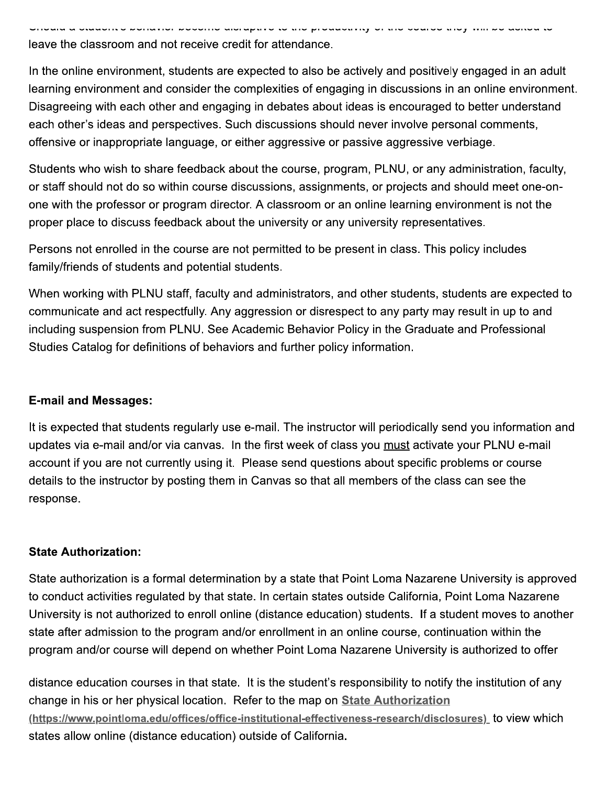uala a utadunte ponavior pouunio diorapavo to alo producavity or alo oudroo aloy leave the classroom and not receive credit for attendance.

In the online environment, students are expected to also be actively and positively engaged in an adult learning environment and consider the complexities of engaging in discussions in an online environment. Disagreeing with each other and engaging in debates about ideas is encouraged to better understand each other's ideas and perspectives. Such discussions should never involve personal comments, offensive or inappropriate language, or either aggressive or passive aggressive verbiage.

Students who wish to share feedback about the course, program, PLNU, or any administration, faculty, or staff should not do so within course discussions, assignments, or projects and should meet one-onone with the professor or program director. A classroom or an online learning environment is not the proper place to discuss feedback about the university or any university representatives.

Persons not enrolled in the course are not permitted to be present in class. This policy includes family/friends of students and potential students.

When working with PLNU staff, faculty and administrators, and other students, students are expected to communicate and act respectfully. Any aggression or disrespect to any party may result in up to and including suspension from PLNU. See Academic Behavior Policy in the Graduate and Professional Studies Catalog for definitions of behaviors and further policy information.

#### **E-mail and Messages:**

It is expected that students regularly use e-mail. The instructor will periodically send you information and updates via e-mail and/or via canvas. In the first week of class you must activate your PLNU e-mail account if you are not currently using it. Please send questions about specific problems or course details to the instructor by posting them in Canvas so that all members of the class can see the response.

#### **State Authorization:**

State authorization is a formal determination by a state that Point Loma Nazarene University is approved to conduct activities regulated by that state. In certain states outside California, Point Loma Nazarene University is not authorized to enroll online (distance education) students. If a student moves to another state after admission to the program and/or enrollment in an online course, continuation within the program and/or course will depend on whether Point Loma Nazarene University is authorized to offer

distance education courses in that state. It is the student's responsibility to notify the institution of any change in his or her physical location. Refer to the map on State Authorization (https://www.pointloma.edu/offices/office-institutional-effectiveness-research/disclosures) to view which states allow online (distance education) outside of California.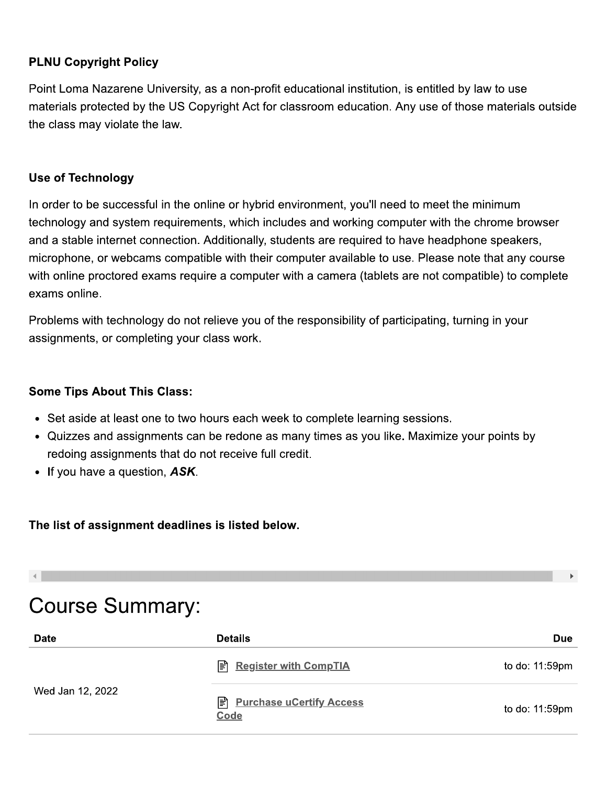## **PLNU Copyright Policy**

Point Loma Nazarene University, as a non-profit educational institution, is entitled by law to use materials protected by the US Copyright Act for classroom education. Any use of those materials outside the class may violate the law.

#### **Use of Technology**

In order to be successful in the online or hybrid environment, you'll need to meet the minimum technology and system requirements, which includes and working computer with the chrome browser and a stable internet connection. Additionally, students are required to have headphone speakers, microphone, or webcams compatible with their computer available to use. Please note that any course with online proctored exams require a computer with a camera (tablets are not compatible) to complete exams online.

Problems with technology do not relieve you of the responsibility of participating, turning in your assignments, or completing your class work.

#### **Some Tips About This Class:**

- Set aside at least one to two hours each week to complete learning sessions.
- Quizzes and assignments can be redone as many times as you like. Maximize your points by redoing assignments that do not receive full credit.
- If you have a question, ASK.

#### The list of assignment deadlines is listed below.

# **Course Summary:**

| <b>Date</b>      | <b>Details</b>                            | Due            |
|------------------|-------------------------------------------|----------------|
|                  | <b>E</b> Register with CompTIA            | to do: 11:59pm |
| Wed Jan 12, 2022 | <b>E</b> Purchase uCertify Access<br>Code | to do: 11:59pm |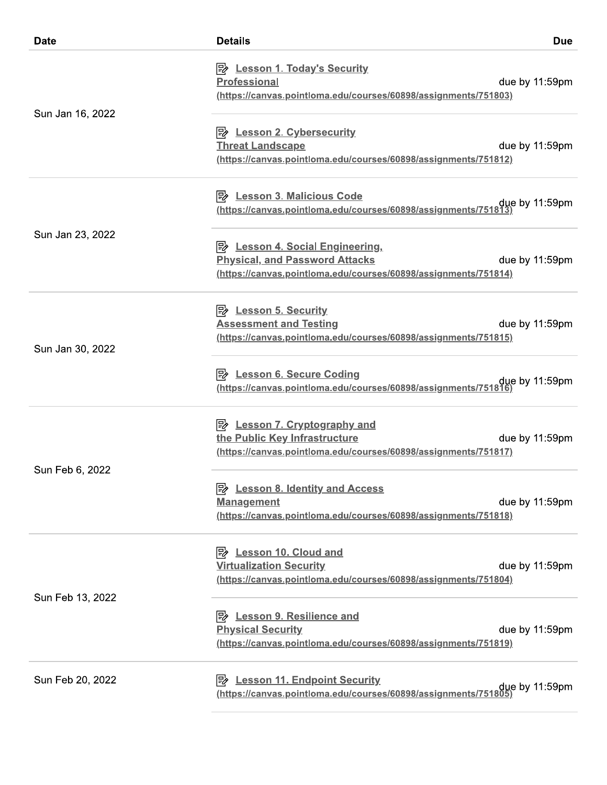| <b>Date</b>      | <b>Details</b><br><b>Due</b>                                                                                                                                      |
|------------------|-------------------------------------------------------------------------------------------------------------------------------------------------------------------|
| Sun Jan 16, 2022 | <b>B</b> Lesson 1. Today's Security<br><b>Professional</b><br>due by 11:59pm<br>(https://canvas.pointloma.edu/courses/60898/assignments/751803)                   |
|                  | <b>Threat Landscape</b><br>due by 11:59pm<br>(https://canvas.pointloma.edu/courses/60898/assignments/751812)                                                      |
|                  | due by 11:59pm (https://canvas.pointloma.edu/courses/60898/assignments/751813)                                                                                    |
| Sun Jan 23, 2022 | <b>Physical, and Password Attacks</b><br>due by 11:59pm<br>(https://canvas.pointloma.edu/courses/60898/assignments/751814)                                        |
| Sun Jan 30, 2022 | <b>Assessment and Testing</b><br>due by 11:59pm<br>(https://canvas.pointloma.edu/courses/60898/assignments/751815)                                                |
|                  | due by 11:59pm due thttps://canvas.pointloma.edu/courses/60898/assignments/751816)                                                                                |
| Sun Feb 6, 2022  | <u> <i>D</i> Lesson 7. Cryptography and</u><br>the Public Key Infrastructure<br>due by 11:59pm<br>(https://canvas.pointloma.edu/courses/60898/assignments/751817) |
|                  | E <sub>&amp;</sub> Lesson 8. Identity and Access<br><b>Management</b><br>due by 11:59pm<br>(https://canvas.pointloma.edu/courses/60898/assignments/751818)        |
| Sun Feb 13, 2022 | <b>Lesson 10. Cloud and</b><br>l=≽<br><b>Virtualization Security</b><br>due by 11:59pm<br>(https://canvas.pointloma.edu/courses/60898/assignments/751804)         |
|                  | P <sup>2</sup> Lesson 9. Resilience and<br><b>Physical Security</b><br>due by 11:59pm<br>(https://canvas.pointloma.edu/courses/60898/assignments/751819)          |
| Sun Feb 20, 2022 | due by 11:59pm (https://canvas.pointloma.edu/courses/60898/assignments/751805)                                                                                    |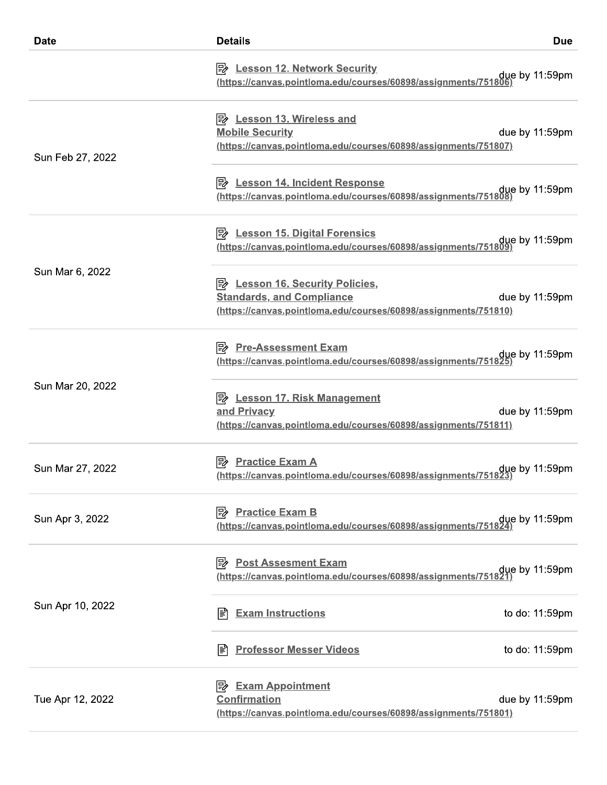| <b>Date</b>      | <b>Details</b>                                                                                                                                | <b>Due</b>     |
|------------------|-----------------------------------------------------------------------------------------------------------------------------------------------|----------------|
|                  | <b>B</b> Lesson 12. Network Security<br>due by 11:59pm (https://canvas.pointloma.edu/courses/60898/assignments/751806)                        |                |
| Sun Feb 27, 2022 | B Lesson 13. Wireless and<br><b>Mobile Security</b><br>(https://canvas.pointloma.edu/courses/60898/assignments/751807)                        | due by 11:59pm |
|                  | P Lesson 14. Incident Response<br>due by 11:59pm (https://canvas.pointloma.edu/courses/60898/assignments/751808)                              |                |
|                  | <b>B</b> Lesson 15. Digital Forensics                                                                                                         |                |
| Sun Mar 6, 2022  | <b>B</b> Lesson 16. Security Policies,<br><b>Standards, and Compliance</b><br>(https://canvas.pointloma.edu/courses/60898/assignments/751810) | due by 11:59pm |
|                  | <b>B</b> Pre-Assessment Exam<br>(https://canvas.pointloma.edu/courses/60898/assignments/751825)                                               | gue by 11:59pm |
| Sun Mar 20, 2022 | <b>Lesson 17. Risk Management</b><br>and Privacy<br>(https://canvas.pointloma.edu/courses/60898/assignments/751811)                           | due by 11:59pm |
| Sun Mar 27, 2022 | <b>Practice Exam A</b><br>due by 11:59pm.//https://canvas.pointloma.edu/courses/60898/assignments/751823                                      |                |
| Sun Apr 3, 2022  | <b>B</b> Practice Exam B<br>due by 11:59pm (https://canvas.pointloma.edu/courses/60898/assignments/751824)                                    |                |
|                  | <b>Post Assesment Exam</b><br>∣≅≽<br>due by 11:59pm.//https://canvas.pointloma.edu/courses/60898/assignments/751821/                          |                |
| Sun Apr 10, 2022 | <b>Exam Instructions</b><br>闫                                                                                                                 | to do: 11:59pm |
|                  | <b>Professor Messer Videos</b><br>闫                                                                                                           | to do: 11:59pm |
| Tue Apr 12, 2022 | <b>Exam Appointment</b><br> ⋽≽<br><b>Confirmation</b><br>(https://canvas.pointloma.edu/courses/60898/assignments/751801)                      | due by 11:59pm |